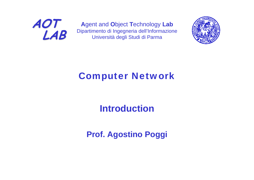

**A**gent and **O**bject **T**echnology **Lab** Dipartimento di Ingegneria dell'Informazione Università degli Studi di Parma



## Computer Network

## **Introduction**

## **Prof. Agostino Poggi**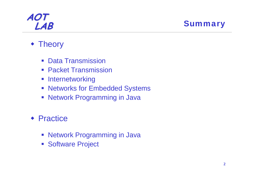**LAB** Summary

### **\* Theory**

- **Data Transmission**
- **Packet Transmission**
- **E** Internetworking
- **Networks for Embedded Systems**
- **Network Programming in Java**
- ◆ Practice
	- **Network Programming in Java**
	- **Software Project**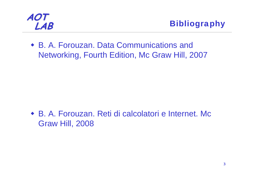

**LAB** Bibliography

 B. A. Forouzan. Data Communications and Networking, Fourth Edition, Mc Graw Hill, 2007

 B. A. Forouzan. Reti di calcolatori e Internet. Mc Graw Hill, 2008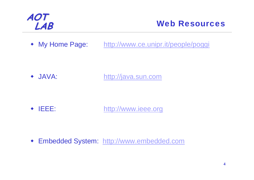

### **LAB** Web Resources

• My Home Page: <http://www.ce.unipr.it/people/poggi>

 $\bullet$  JAVA: [http://java.sun.com](http://java.sun.com/)

♦ IEEE: [http://www.ieee.org](http:///)

Embedded System: [http://www.embedded.com](http://www.embedded.com/)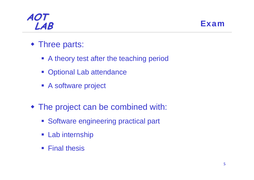### **AOT LAB** Exam



- Three parts:
	- A theory test after the teaching period
	- Optional Lab attendance
	- **A software project**
- The project can be combined with:
	- **Software engineering practical part**
	- **Eab internship**
	- **Final thesis**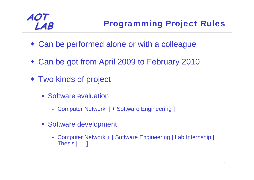- Can be performed alone or with a colleague
- Can be got from April 2009 to February 2010
- Two kinds of project
	- **Software evaluation** 
		- Computer Network [ + Software Engineering ]
	- Software development
		- Computer Network + [ Software Engineering | Lab Internship | Thesis | … ]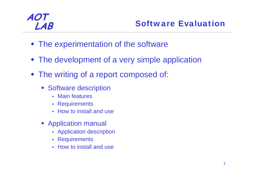- The experimentation of the software
- The development of a very simple application
- The writing of a report composed of:
	- **Software description** 
		- Main features
		- Requirements
		- How to install and use
	- **EXAPPLICATION manual** 
		- Application description
		- Requirements
		- How to install and use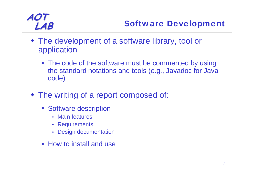- The development of a software library, tool or application
	- The code of the software must be commented by using the standard notations and tools (e.g., Javadoc for Java code)
- The writing of a report composed of:
	- **Software description** 
		- Main features
		- Requirements
		- Design documentation
	- How to install and use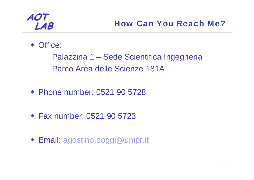### Office:

Palazzina 1 – Sede Scientifica Ingegneria Parco Area delle Scienze 181A

- Phone number: 0521 90 5728
- Fax number: 0521 90 5723
- Email: [agostino.poggi@unipr.it](mailto:agostino.poggi@unipr.it)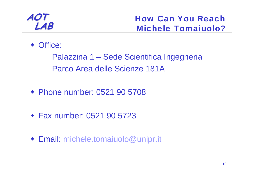### **AOT LAB**

### How Can You ReachMichele Tomaiuolo?

### Office:

Palazzina 1 – Sede Scientifica Ingegneria Parco Area delle Scienze 181A

- Phone number: 0521 90 5708
- Fax number: 0521 90 5723
- Email: [michele.tomaiuolo@unipr.it](mailto:michele.tomaiuolo@unipr.it)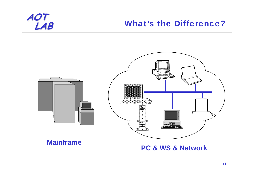### **What's the Difference?**



#### **Mainframe**

### **PC & WS & Network**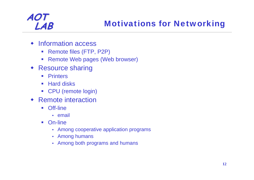- Information access
	- Remote files (FTP, P2P)
	- Remote Web pages (Web browser)
- Resource sharing
	- $\mathcal{L}_{\mathcal{A}}$ **Printers**
	- Hard disks
	- CPU (remote login)
- Remote interaction
	- $\mathcal{L}_{\mathcal{A}}$  Off-line
		- email
	- $\mathcal{L}^{\mathcal{L}}$  On-line
		- Among cooperative application programs
		- Among humans
		- Among both programs and humans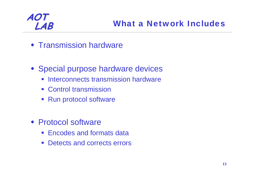- **\* Transmission hardware**
- Special purpose hardware devices
	- **Interconnects transmission hardware**
	- **EX Control transmission**
	- Run protocol software
- Protocol software
	- **Encodes and formats data**
	- $\mathbb{R}^3$ Detects and corrects errors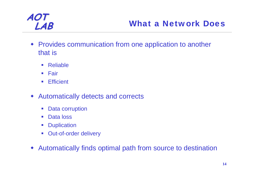

### **LAB** What a Network Does

- Provides communication from one application to another that is
	- $\mathcal{L}_{\mathcal{A}}$ Reliable
	- **Eair**
	- $\mathcal{L}_{\mathrm{eff}}$ **Efficient**
- ♦ Automatically detects and corrects
	- $\mathcal{L}_{\mathcal{A}}$ Data corruption
	- Data loss
	- **Duplication**
	- **Dut-of-order delivery**
- ♦ Automatically finds optimal path from source to destination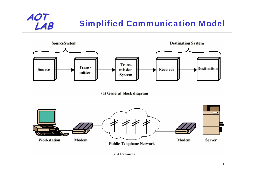## **Simplified Communication Model**



**AOT**

(b) Example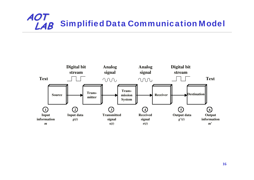### **AOT Simplified Data Communication Model**

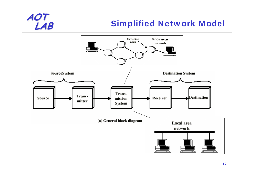## **Simplified Network Model**

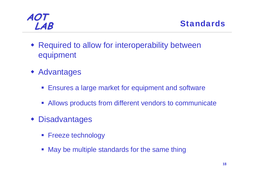



- Required to allow for interoperability between equipment
- Advantages
	- **Ensures a large market for equipment and software**
	- **Allows products from different vendors to communicate**
- Disadvantages
	- **Freeze technology**
	- **May be multiple standards for the same thing**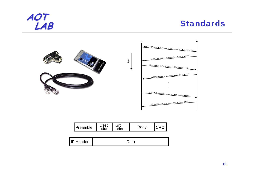

### **Standards**



| Preamble | יכטנ<br>addr | ddr |  |  |
|----------|--------------|-----|--|--|
|----------|--------------|-----|--|--|

| LШ<br>P Header |  |
|----------------|--|
|----------------|--|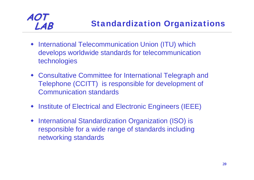- **International Telecommunication Union (ITU) which** develops worldwide standards for telecommunication technologies
- Consultative Committee for International Telegraph and Telephone (CCITT) is responsible for development of Communication standards
- **Institute of Electrical and Electronic Engineers (IEEE)**
- International Standardization Organization (ISO) is responsible for a wide range of standards including networking standards